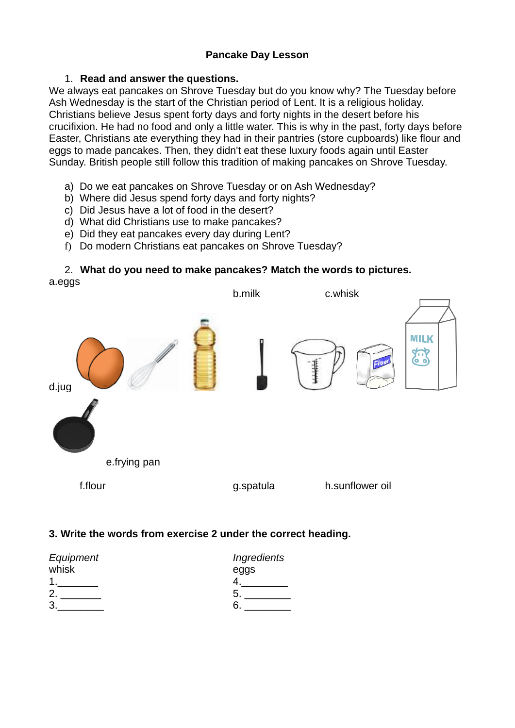## **Pancake Day Lesson**

### 1. **Read and answer the questions.**

We always eat pancakes on Shrove Tuesday but do you know why? The Tuesday before Ash Wednesday is the start of the Christian period of Lent. It is a religious holiday. Christians believe Jesus spent forty days and forty nights in the desert before his crucifixion. He had no food and only a little water. This is why in the past, forty days before Easter, Christians ate everything they had in their pantries (store cupboards) like flour and eggs to made pancakes. Then, they didn't eat these luxury foods again until Easter Sunday. British people still follow this tradition of making pancakes on Shrove Tuesday.

- a) Do we eat pancakes on Shrove Tuesday or on Ash Wednesday?
- b) Where did Jesus spend forty days and forty nights?
- c) Did Jesus have a lot of food in the desert?
- d) What did Christians use to make pancakes?
- e) Did they eat pancakes every day during Lent?
- f) Do modern Christians eat pancakes on Shrove Tuesday?

#### 2. **What do you need to make pancakes? Match the words to pictures.**  a.eggs



## **3. Write the words from exercise 2 under the correct heading.**

| Equipment | Ingredients |
|-----------|-------------|
| whisk     | eggs        |
|           |             |
|           | G           |
|           |             |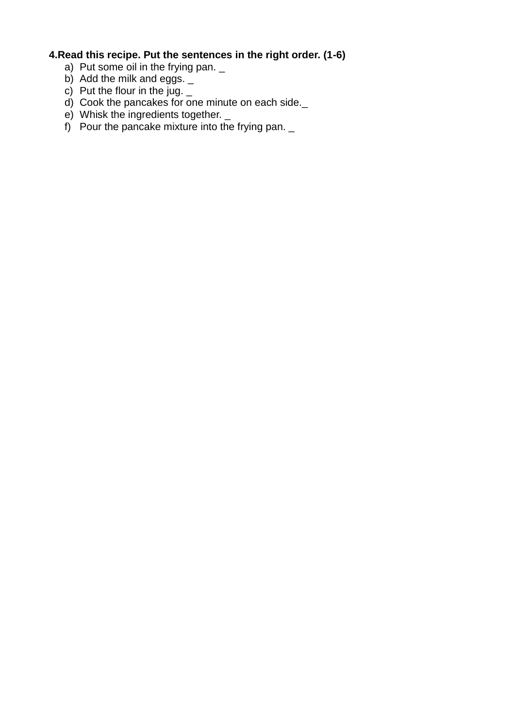# **4.Read this recipe. Put the sentences in the right order. (1-6)**

- a) Put some oil in the frying pan. \_
- b) Add the milk and eggs. \_
- c) Put the flour in the jug.  $\_$
- d) Cook the pancakes for one minute on each side.\_
- e) Whisk the ingredients together.
- f) Pour the pancake mixture into the frying pan.  $\overline{\phantom{a}}$